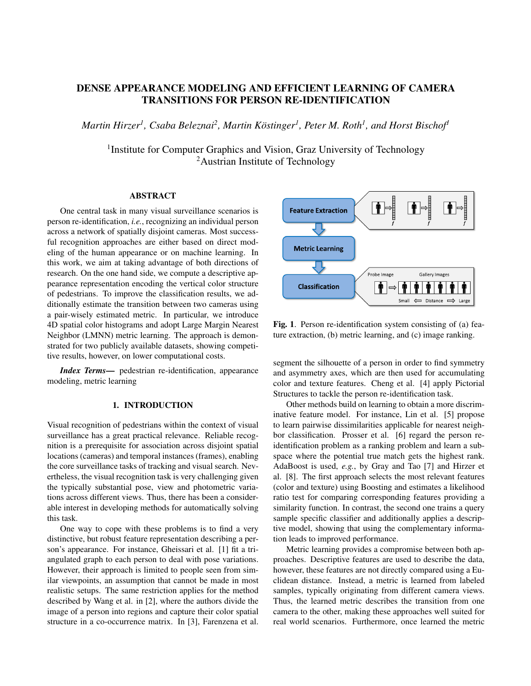# DENSE APPEARANCE MODELING AND EFFICIENT LEARNING OF CAMERA TRANSITIONS FOR PERSON RE-IDENTIFICATION

 $M$ artin Hirzer<sup>1</sup>, Csaba Beleznai<sup>2</sup>, Martin Köstinger<sup>1</sup>, Peter M. Roth<sup>1</sup>, and Horst Bischof<sup>1</sup>

<sup>1</sup> Institute for Computer Graphics and Vision, Graz University of Technology <sup>2</sup>Austrian Institute of Technology

## ABSTRACT

One central task in many visual surveillance scenarios is person re-identification, *i.e.*, recognizing an individual person across a network of spatially disjoint cameras. Most successful recognition approaches are either based on direct modeling of the human appearance or on machine learning. In this work, we aim at taking advantage of both directions of research. On the one hand side, we compute a descriptive appearance representation encoding the vertical color structure of pedestrians. To improve the classification results, we additionally estimate the transition between two cameras using a pair-wisely estimated metric. In particular, we introduce 4D spatial color histograms and adopt Large Margin Nearest Neighbor (LMNN) metric learning. The approach is demonstrated for two publicly available datasets, showing competitive results, however, on lower computational costs.

*Index Terms*— pedestrian re-identification, appearance modeling, metric learning

## 1. INTRODUCTION

Visual recognition of pedestrians within the context of visual surveillance has a great practical relevance. Reliable recognition is a prerequisite for association across disjoint spatial locations (cameras) and temporal instances (frames), enabling the core surveillance tasks of tracking and visual search. Nevertheless, the visual recognition task is very challenging given the typically substantial pose, view and photometric variations across different views. Thus, there has been a considerable interest in developing methods for automatically solving this task.

One way to cope with these problems is to find a very distinctive, but robust feature representation describing a person's appearance. For instance, Gheissari et al. [1] fit a triangulated graph to each person to deal with pose variations. However, their approach is limited to people seen from similar viewpoints, an assumption that cannot be made in most realistic setups. The same restriction applies for the method described by Wang et al. in [2], where the authors divide the image of a person into regions and capture their color spatial structure in a co-occurrence matrix. In [3], Farenzena et al.



Fig. 1. Person re-identification system consisting of (a) feature extraction, (b) metric learning, and (c) image ranking.

segment the silhouette of a person in order to find symmetry and asymmetry axes, which are then used for accumulating color and texture features. Cheng et al. [4] apply Pictorial Structures to tackle the person re-identification task.

Other methods build on learning to obtain a more discriminative feature model. For instance, Lin et al. [5] propose to learn pairwise dissimilarities applicable for nearest neighbor classification. Prosser et al. [6] regard the person reidentification problem as a ranking problem and learn a subspace where the potential true match gets the highest rank. AdaBoost is used, *e.g.*, by Gray and Tao [7] and Hirzer et al. [8]. The first approach selects the most relevant features (color and texture) using Boosting and estimates a likelihood ratio test for comparing corresponding features providing a similarity function. In contrast, the second one trains a query sample specific classifier and additionally applies a descriptive model, showing that using the complementary information leads to improved performance.

Metric learning provides a compromise between both approaches. Descriptive features are used to describe the data, however, these features are not directly compared using a Euclidean distance. Instead, a metric is learned from labeled samples, typically originating from different camera views. Thus, the learned metric describes the transition from one camera to the other, making these approaches well suited for real world scenarios. Furthermore, once learned the metric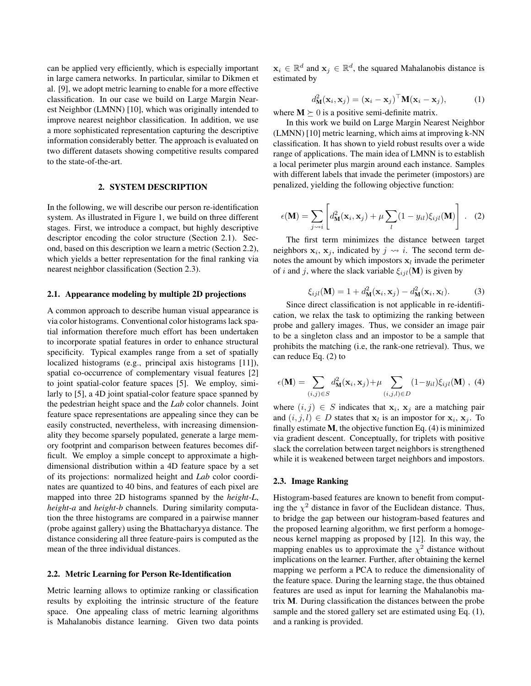can be applied very efficiently, which is especially important in large camera networks. In particular, similar to Dikmen et al. [9], we adopt metric learning to enable for a more effective classification. In our case we build on Large Margin Nearest Neighbor (LMNN) [10], which was originally intended to improve nearest neighbor classification. In addition, we use a more sophisticated representation capturing the descriptive information considerably better. The approach is evaluated on two different datasets showing competitive results compared to the state-of-the-art.

## 2. SYSTEM DESCRIPTION

In the following, we will describe our person re-identification system. As illustrated in Figure 1, we build on three different stages. First, we introduce a compact, but highly descriptive descriptor encoding the color structure (Section 2.1). Second, based on this description we learn a metric (Section 2.2), which yields a better representation for the final ranking via nearest neighbor classification (Section 2.3).

#### 2.1. Appearance modeling by multiple 2D projections

A common approach to describe human visual appearance is via color histograms. Conventional color histograms lack spatial information therefore much effort has been undertaken to incorporate spatial features in order to enhance structural specificity. Typical examples range from a set of spatially localized histograms (e.g., principal axis histograms [11]), spatial co-occurrence of complementary visual features [2] to joint spatial-color feature spaces [5]. We employ, similarly to [5], a 4D joint spatial-color feature space spanned by the pedestrian height space and the *Lab* color channels. Joint feature space representations are appealing since they can be easily constructed, nevertheless, with increasing dimensionality they become sparsely populated, generate a large memory footprint and comparison between features becomes difficult. We employ a simple concept to approximate a highdimensional distribution within a 4D feature space by a set of its projections: normalized height and *Lab* color coordinates are quantized to 40 bins, and features of each pixel are mapped into three 2D histograms spanned by the *height*-*L*, *height*-*a* and *height*-*b* channels. During similarity computation the three histograms are compared in a pairwise manner (probe against gallery) using the Bhattacharyya distance. The distance considering all three feature-pairs is computed as the mean of the three individual distances.

#### 2.2. Metric Learning for Person Re-Identification

Metric learning allows to optimize ranking or classification results by exploiting the intrinsic structure of the feature space. One appealing class of metric learning algorithms is Mahalanobis distance learning. Given two data points

 $\mathbf{x}_i \in \mathbb{R}^d$  and  $\mathbf{x}_j \in \mathbb{R}^d$ , the squared Mahalanobis distance is estimated by

$$
d_{\mathbf{M}}^2(\mathbf{x}_i, \mathbf{x}_j) = (\mathbf{x}_i - \mathbf{x}_j)^{\top} \mathbf{M}(\mathbf{x}_i - \mathbf{x}_j),
$$
 (1)

where  $M \succeq 0$  is a positive semi-definite matrix.

In this work we build on Large Margin Nearest Neighbor (LMNN) [10] metric learning, which aims at improving k-NN classification. It has shown to yield robust results over a wide range of applications. The main idea of LMNN is to establish a local perimeter plus margin around each instance. Samples with different labels that invade the perimeter (impostors) are penalized, yielding the following objective function:

$$
\epsilon(\mathbf{M}) = \sum_{j \leadsto i} \left[ d_{\mathbf{M}}^2(\mathbf{x}_i, \mathbf{x}_j) + \mu \sum_l (1 - y_{il}) \xi_{ijl}(\mathbf{M}) \right].
$$
 (2)

The first term minimizes the distance between target neighbors  $x_i$ ,  $x_j$ , indicated by  $j \rightsquigarrow i$ . The second term denotes the amount by which impostors  $x_l$  invade the perimeter of i and j, where the slack variable  $\xi_{ijl}(\mathbf{M})$  is given by

$$
\xi_{ijl}(\mathbf{M}) = 1 + d_{\mathbf{M}}^2(\mathbf{x}_i, \mathbf{x}_j) - d_{\mathbf{M}}^2(\mathbf{x}_i, \mathbf{x}_l). \tag{3}
$$

Since direct classification is not applicable in re-identification, we relax the task to optimizing the ranking between probe and gallery images. Thus, we consider an image pair to be a singleton class and an impostor to be a sample that prohibits the matching (i.e, the rank-one retrieval). Thus, we can reduce Eq. (2) to

$$
\epsilon(\mathbf{M}) = \sum_{(i,j)\in S} d_{\mathbf{M}}^2(\mathbf{x}_i, \mathbf{x}_j) + \mu \sum_{(i,j,l)\in D} (1 - y_{il}) \xi_{ijl}(\mathbf{M}), \tag{4}
$$

where  $(i, j) \in S$  indicates that  $x_i$ ,  $x_j$  are a matching pair and  $(i, j, l) \in D$  states that  $x_l$  is an impostor for  $x_i$ ,  $x_j$ . To finally estimate M, the objective function Eq. (4) is minimized via gradient descent. Conceptually, for triplets with positive slack the correlation between target neighbors is strengthened while it is weakened between target neighbors and impostors.

## 2.3. Image Ranking

Histogram-based features are known to benefit from computing the  $\chi^2$  distance in favor of the Euclidean distance. Thus, to bridge the gap between our histogram-based features and the proposed learning algorithm, we first perform a homogeneous kernel mapping as proposed by [12]. In this way, the mapping enables us to approximate the  $\chi^2$  distance without implications on the learner. Further, after obtaining the kernel mapping we perform a PCA to reduce the dimensionality of the feature space. During the learning stage, the thus obtained features are used as input for learning the Mahalanobis matrix M. During classification the distances between the probe sample and the stored gallery set are estimated using Eq. (1), and a ranking is provided.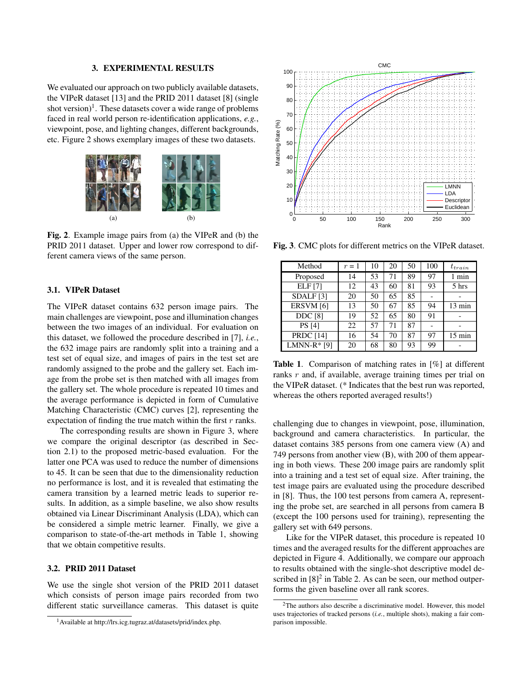#### 3. EXPERIMENTAL RESULTS

We evaluated our approach on two publicly available datasets, the VIPeR dataset [13] and the PRID 2011 dataset [8] (single shot version)<sup>1</sup>. These datasets cover a wide range of problems faced in real world person re-identification applications, *e.g.*, viewpoint, pose, and lighting changes, different backgrounds, etc. Figure 2 shows exemplary images of these two datasets.



Fig. 2. Example image pairs from (a) the VIPeR and (b) the PRID 2011 dataset. Upper and lower row correspond to different camera views of the same person.

## 3.1. VIPeR Dataset

The VIPeR dataset contains 632 person image pairs. The main challenges are viewpoint, pose and illumination changes between the two images of an individual. For evaluation on this dataset, we followed the procedure described in [7], *i.e.*, the 632 image pairs are randomly split into a training and a test set of equal size, and images of pairs in the test set are randomly assigned to the probe and the gallery set. Each image from the probe set is then matched with all images from the gallery set. The whole procedure is repeated 10 times and the average performance is depicted in form of Cumulative Matching Characteristic (CMC) curves [2], representing the expectation of finding the true match within the first  $r$  ranks.

The corresponding results are shown in Figure 3, where we compare the original descriptor (as described in Section 2.1) to the proposed metric-based evaluation. For the latter one PCA was used to reduce the number of dimensions to 45. It can be seen that due to the dimensionality reduction no performance is lost, and it is revealed that estimating the camera transition by a learned metric leads to superior results. In addition, as a simple baseline, we also show results obtained via Linear Discriminant Analysis (LDA), which can be considered a simple metric learner. Finally, we give a comparison to state-of-the-art methods in Table 1, showing that we obtain competitive results.

## 3.2. PRID 2011 Dataset

We use the single shot version of the PRID 2011 dataset which consists of person image pairs recorded from two different static surveillance cameras. This dataset is quite



Fig. 3. CMC plots for different metrics on the VIPeR dataset.

| Method               | $r=1$ | 10 | 20 | 50 | 100 | $t_{train}$      |
|----------------------|-------|----|----|----|-----|------------------|
| Proposed             | 14    | 53 | 71 | 89 | 97  | 1 min            |
| <b>ELF</b> [7]       | 12    | 43 | 60 | 81 | 93  | 5 hrs            |
| SDALF <sub>[3]</sub> | 20    | 50 | 65 | 85 |     |                  |
| ERSVM [6]            | 13    | 50 | 67 | 85 | 94  | $13 \text{ min}$ |
| <b>DDC</b> [8]       | 19    | 52 | 65 | 80 | 91  |                  |
| <b>PS</b> [4]        | 22    | 57 | 71 | 87 |     |                  |
| <b>PRDC</b> [14]     | 16    | 54 | 70 | 87 | 97  | $15 \text{ min}$ |
| LMNN- $R*$ [9]       | 20    | 68 | 80 | 93 | 99  |                  |

Table 1. Comparison of matching rates in [%] at different ranks r and, if available, average training times per trial on the VIPeR dataset. (\* Indicates that the best run was reported, whereas the others reported averaged results!)

challenging due to changes in viewpoint, pose, illumination, background and camera characteristics. In particular, the dataset contains 385 persons from one camera view (A) and 749 persons from another view (B), with 200 of them appearing in both views. These 200 image pairs are randomly split into a training and a test set of equal size. After training, the test image pairs are evaluated using the procedure described in [8]. Thus, the 100 test persons from camera A, representing the probe set, are searched in all persons from camera B (except the 100 persons used for training), representing the gallery set with 649 persons.

Like for the VIPeR dataset, this procedure is repeated 10 times and the averaged results for the different approaches are depicted in Figure 4. Additionally, we compare our approach to results obtained with the single-shot descriptive model described in  $[8]^2$  in Table 2. As can be seen, our method outperforms the given baseline over all rank scores.

<sup>1</sup>Available at http://lrs.icg.tugraz.at/datasets/prid/index.php.

<sup>&</sup>lt;sup>2</sup>The authors also describe a discriminative model. However, this model uses trajectories of tracked persons (*i.e.*, multiple shots), making a fair comparison impossible.